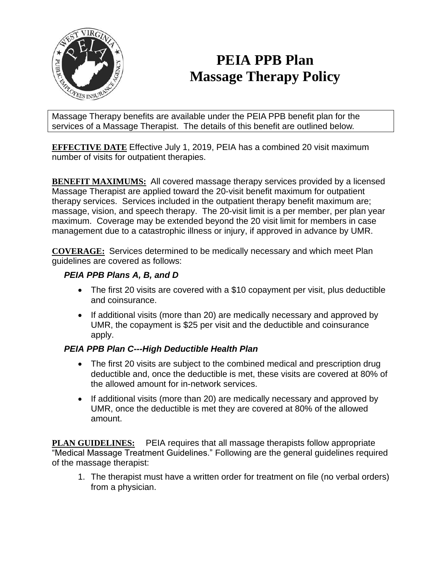

## **PEIA PPB Plan Massage Therapy Policy**

Massage Therapy benefits are available under the PEIA PPB benefit plan for the services of a Massage Therapist. The details of this benefit are outlined below.

**EFFECTIVE DATE** Effective July 1, 2019, PEIA has a combined 20 visit maximum number of visits for outpatient therapies.

**BENEFIT MAXIMUMS:** All covered massage therapy services provided by a licensed Massage Therapist are applied toward the 20-visit benefit maximum for outpatient therapy services. Services included in the outpatient therapy benefit maximum are; massage, vision, and speech therapy. The 20-visit limit is a per member, per plan year maximum. Coverage may be extended beyond the 20 visit limit for members in case management due to a catastrophic illness or injury, if approved in advance by UMR.

**COVERAGE:** Services determined to be medically necessary and which meet Plan guidelines are covered as follows:

## *PEIA PPB Plans A, B, and D*

- The first 20 visits are covered with a \$10 copayment per visit, plus deductible and coinsurance.
- If additional visits (more than 20) are medically necessary and approved by UMR, the copayment is \$25 per visit and the deductible and coinsurance apply.

## *PEIA PPB Plan C---High Deductible Health Plan*

- The first 20 visits are subject to the combined medical and prescription drug deductible and, once the deductible is met, these visits are covered at 80% of the allowed amount for in-network services.
- If additional visits (more than 20) are medically necessary and approved by UMR, once the deductible is met they are covered at 80% of the allowed amount.

**PLAN GUIDELINES:** PEIA requires that all massage therapists follow appropriate "Medical Massage Treatment Guidelines." Following are the general guidelines required of the massage therapist:

1. The therapist must have a written order for treatment on file (no verbal orders) from a physician.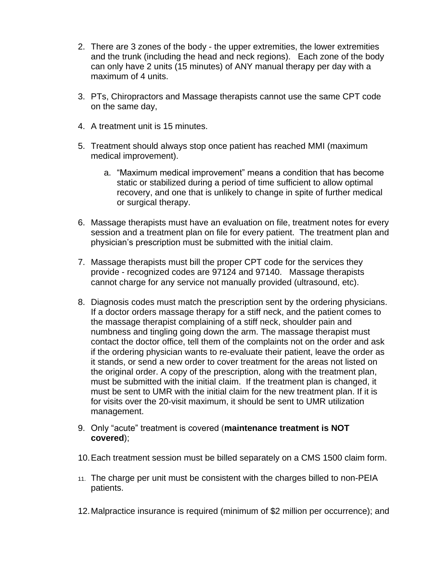- 2. There are 3 zones of the body the upper extremities, the lower extremities and the trunk (including the head and neck regions). Each zone of the body can only have 2 units (15 minutes) of ANY manual therapy per day with a maximum of 4 units.
- 3. PTs, Chiropractors and Massage therapists cannot use the same CPT code on the same day,
- 4. A treatment unit is 15 minutes.
- 5. Treatment should always stop once patient has reached MMI (maximum medical improvement).
	- a. "Maximum medical improvement" means a condition that has become static or stabilized during a period of time sufficient to allow optimal recovery, and one that is unlikely to change in spite of further medical or surgical therapy.
- 6. Massage therapists must have an evaluation on file, treatment notes for every session and a treatment plan on file for every patient. The treatment plan and physician's prescription must be submitted with the initial claim.
- 7. Massage therapists must bill the proper CPT code for the services they provide - recognized codes are 97124 and 97140. Massage therapists cannot charge for any service not manually provided (ultrasound, etc).
- 8. Diagnosis codes must match the prescription sent by the ordering physicians. If a doctor orders massage therapy for a stiff neck, and the patient comes to the massage therapist complaining of a stiff neck, shoulder pain and numbness and tingling going down the arm. The massage therapist must contact the doctor office, tell them of the complaints not on the order and ask if the ordering physician wants to re-evaluate their patient, leave the order as it stands, or send a new order to cover treatment for the areas not listed on the original order. A copy of the prescription, along with the treatment plan, must be submitted with the initial claim. If the treatment plan is changed, it must be sent to UMR with the initial claim for the new treatment plan. If it is for visits over the 20-visit maximum, it should be sent to UMR utilization management.
- 9. Only "acute" treatment is covered (**maintenance treatment is NOT covered**);
- 10.Each treatment session must be billed separately on a CMS 1500 claim form.
- 11. The charge per unit must be consistent with the charges billed to non-PEIA patients.
- 12.Malpractice insurance is required (minimum of \$2 million per occurrence); and